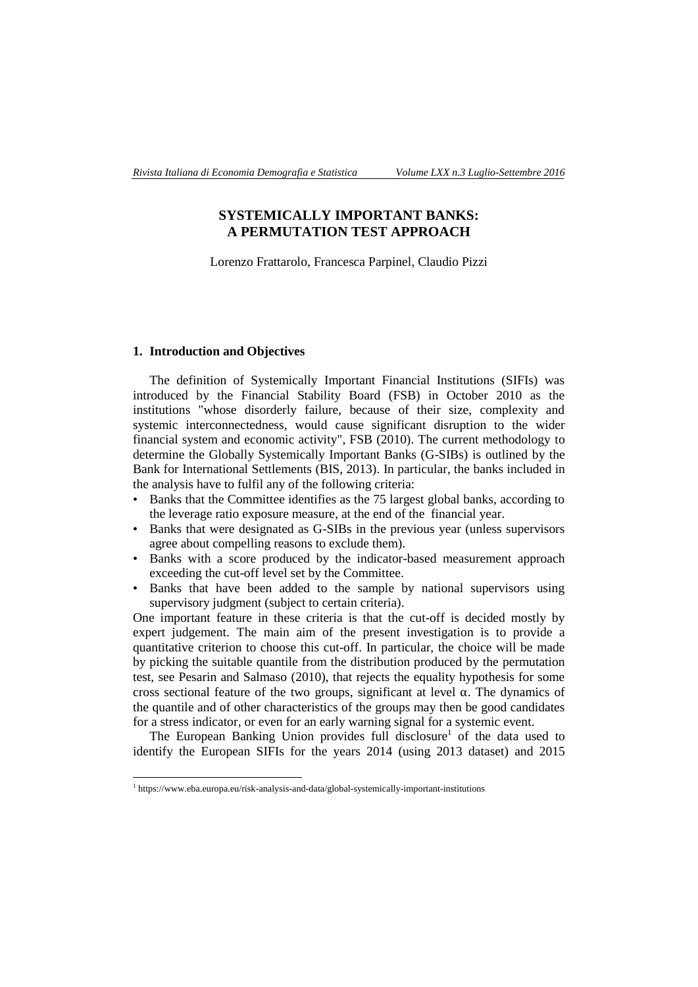# **SYSTEMICALLY IMPORTANT BANKS: A PERMUTATION TEST APPROACH**

Lorenzo Frattarolo, Francesca Parpinel, Claudio Pizzi

## **1. Introduction and Objectives**

The definition of Systemically Important Financial Institutions (SIFIs) was introduced by the Financial Stability Board (FSB) in October 2010 as the institutions "whose disorderly failure, because of their size, complexity and systemic interconnectedness, would cause significant disruption to the wider financial system and economic activity", FSB (2010). The current methodology to determine the Globally Systemically Important Banks (G-SIBs) is outlined by the Bank for International Settlements (BIS, 2013). In particular, the banks included in the analysis have to fulfil any of the following criteria:

- Banks that the Committee identifies as the 75 largest global banks, according to the leverage ratio exposure measure, at the end of the financial year.
- Banks that were designated as G-SIBs in the previous year (unless supervisors agree about compelling reasons to exclude them).
- Banks with a score produced by the indicator-based measurement approach exceeding the cut-off level set by the Committee.
- Banks that have been added to the sample by national supervisors using supervisory judgment (subject to certain criteria).

One important feature in these criteria is that the cut-off is decided mostly by expert judgement. The main aim of the present investigation is to provide a quantitative criterion to choose this cut-off. In particular, the choice will be made by picking the suitable quantile from the distribution produced by the permutation test, see Pesarin and Salmaso (2010), that rejects the equality hypothesis for some cross sectional feature of the two groups, significant at level  $\alpha$ . The dynamics of the quantile and of other characteristics of the groups may then be good candidates for a stress indicator, or even for an early warning signal for a systemic event.

The European Banking Union provides full disclosure<sup>1</sup> of the data used to identify the European SIFIs for the years 2014 (using 2013 dataset) and 2015

 1 <https://www.eba.europa.eu/risk-analysis-and-data/global-systemically-important-institutions>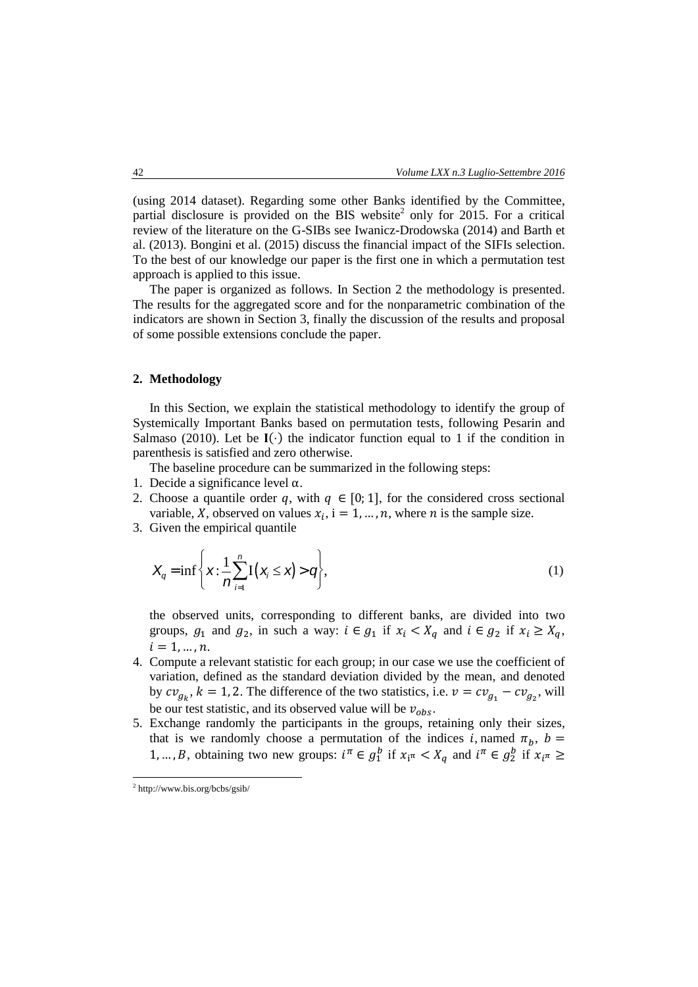(using 2014 dataset). Regarding some other Banks identified by the Committee, partial disclosure is provided on the BIS website<sup>2</sup> only for 2015. For a critical review of the literature on the G-SIBs see Iwanicz-Drodowska (2014) and Barth et al. (2013). Bongini et al. (2015) discuss the financial impact of the SIFIs selection. To the best of our knowledge our paper is the first one in which a permutation test approach is applied to this issue.

The paper is organized as follows. In Section 2 the methodology is presented. The results for the aggregated score and for the nonparametric combination of the indicators are shown in Section 3, finally the discussion of the results and proposal of some possible extensions conclude the paper.

## **2. Methodology**

In this Section, we explain the statistical methodology to identify the group of Systemically Important Banks based on permutation tests, following Pesarin and Salmaso (2010). Let be  $I(\cdot)$  the indicator function equal to 1 if the condition in parenthesis is satisfied and zero otherwise.

The baseline procedure can be summarized in the following steps:

- 1. Decide a significance level α.
- 2. Choose a quantile order q, with  $q \in [0, 1]$ , for the considered cross sectional variable, X, observed on values  $x_i$ ,  $i = 1, ..., n$ , where *n* is the sample size.
- 3. Given the empirical quantile

$$
X_q = \inf \left\{ x : \frac{1}{n} \sum_{i=1}^n I(x_i \le x) > q \right\},\tag{1}
$$

the observed units, corresponding to different banks, are divided into two groups,  $g_1$  and  $g_2$ , in such a way:  $i \in g_1$  if  $x_i \lt X_q$  and  $i \in g_2$  if  $x_i \ge X_q$ ,  $i = 1, ..., n$ .

- 4. Compute a relevant statistic for each group; in our case we use the coefficient of variation, defined as the standard deviation divided by the mean, and denoted by  $cv_{g_k}$ ,  $k = 1, 2$ . The difference of the two statistics, i.e.  $v = cv_{g_1} - cv_{g_2}$ , will be our test statistic, and its observed value will be  $v_{obs}$ .
- 5. Exchange randomly the participants in the groups, retaining only their sizes, that is we randomly choose a permutation of the indices *i*, named  $\pi_h$ ,  $b =$ 1, ..., B, obtaining two new groups:  $i^{\pi} \in g_1^b$  if  $x_i \in X_q$  and  $i^{\pi} \in g_2^b$  if  $x_i \in X_q$

 2 <http://www.bis.org/bcbs/gsib/>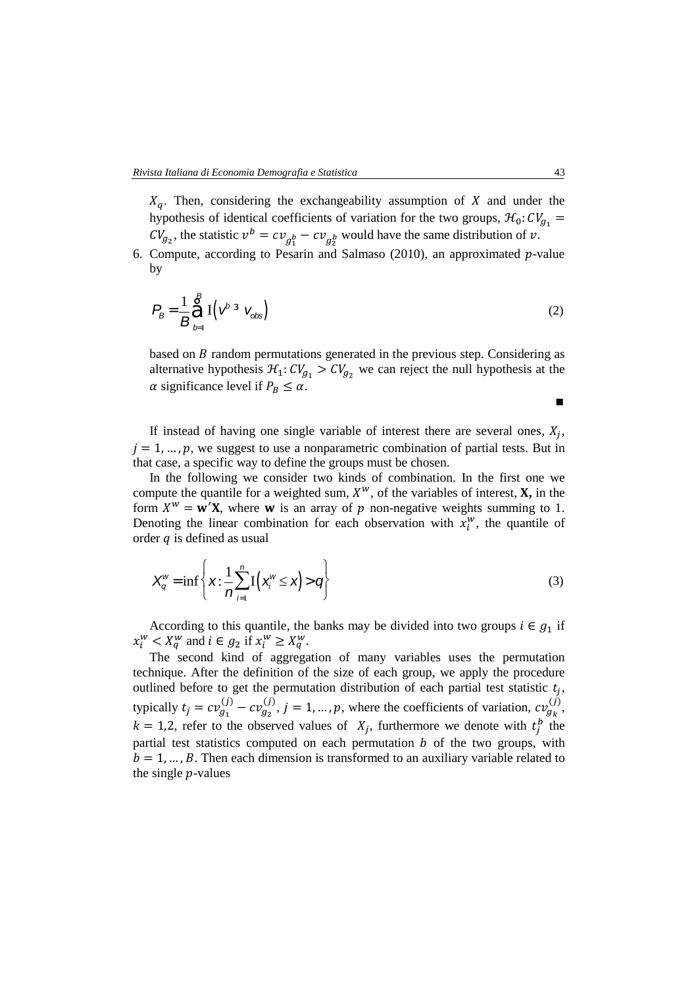$X_q$ . Then, considering the exchangeability assumption of X and under the hypothesis of identical coefficients of variation for the two groups,  $\mathcal{H}_0$ :  $CV_{g_1}$  =  $CV_{g_2}$ , the statistic  $v^b = cv_{g_1^b} - cv_{g_2^b}$  would have the same distribution of v.

6. Compute, according to Pesarin and Salmaso (2010), an approximated  $p$ -value by

$$
P_B = \frac{1}{B} \sum_{b=1}^{B} \mathbf{I} \left( V^{b} \stackrel{3}{\sim} V_{obs} \right)
$$
 (2)

based on  $B$  random permutations generated in the previous step. Considering as alternative hypothesis  $\mathcal{H}_1: CV_{g_1} > CV_{g_2}$  we can reject the null hypothesis at the  $\alpha$  significance level if  $P_B \leq \alpha$ .

If instead of having one single variable of interest there are several ones,  $X_j$ ,  $i = 1, \ldots, p$ , we suggest to use a nonparametric combination of partial tests. But in that case, a specific way to define the groups must be chosen.

In the following we consider two kinds of combination. In the first one we compute the quantile for a weighted sum,  $X^w$ , of the variables of interest,  $X$ , in the form  $X^w = \mathbf{w}'\mathbf{X}$ , where **w** is an array of p non-negative weights summing to 1. Denoting the linear combination for each observation with  $x_i^w$ , the quantile of order  $q$  is defined as usual

$$
X_q^w = \inf \left\{ \mathbf{x} : \frac{1}{n} \sum_{i=1}^n \mathbf{I} \left( \mathbf{x}_i^w \leq \mathbf{x} \right) > q \right\} \tag{3}
$$

According to this quantile, the banks may be divided into two groups  $i \in g_1$  if  $x_i^w < X_q^w$  and  $i \in g_2$  if  $x_i^w \ge X_q^w$ .

The second kind of aggregation of many variables uses the permutation technique. After the definition of the size of each group, we apply the procedure outlined before to get the permutation distribution of each partial test statistic  $t_j$ , typically  $t_j = cv_{g_1}^{(j)} - cv_{g_2}^{(j)}$ ,  $j = 1, ..., p$ , where the coefficients of variation,  $cv_{g_k}^{(j)}$ ,  $k = 1,2$ , refer to the observed values of  $X_j$ , furthermore we denote with  $t_j^b$  the partial test statistics computed on each permutation  $b$  of the two groups, with  $b = 1, \dots, B$ . Then each dimension is transformed to an auxiliary variable related to the single  $p$ -values

∎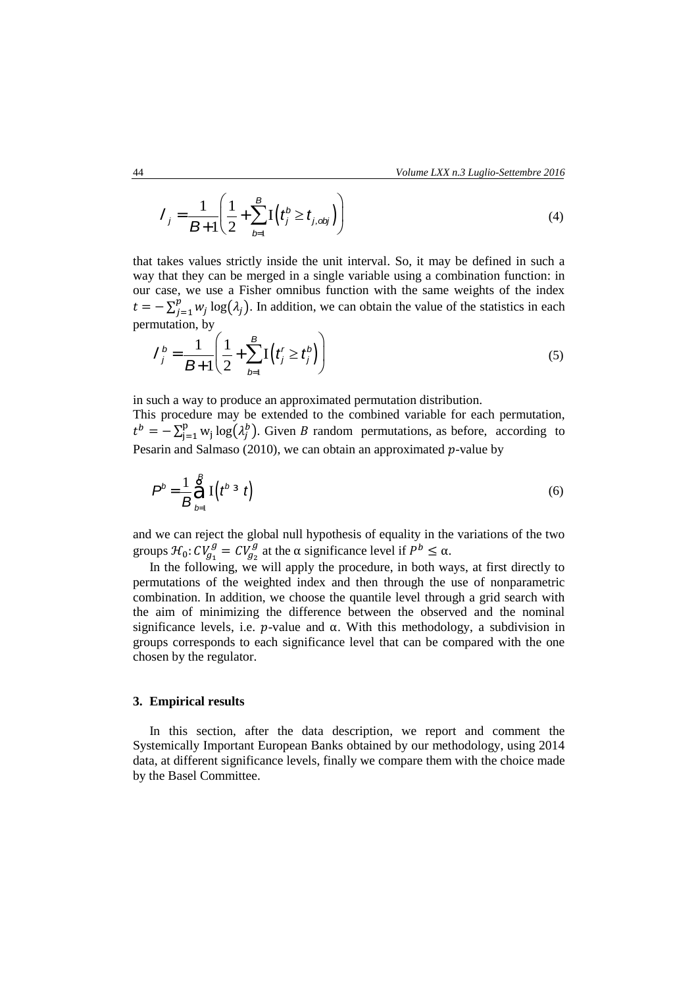$$
I_{j} = \frac{1}{B+1} \left( \frac{1}{2} + \sum_{b=1}^{B} I \left( t_{j}^{b} \ge t_{j, \text{obj}} \right) \right)
$$
(4)

that takes values strictly inside the unit interval. So, it may be defined in such a way that they can be merged in a single variable using a combination function: in our case, we use a Fisher omnibus function with the same weights of the index  $t = -\sum_{j=1}^p w_j$  $\int_{j=1}^{p} w_j \log(\lambda_j)$ . In addition, we can obtain the value of the statistics in each permutation, by

$$
I_j^b = \frac{1}{B+1} \left( \frac{1}{2} + \sum_{b=1}^B I\left(t_j^r \ge t_j^b\right) \right)
$$
 (5)

in such a way to produce an approximated permutation distribution.

This procedure may be extended to the combined variable for each permutation,  $t^{b} = -\sum_{i=1}^{p} w_{i}$  $_{j=1}^{p}$  w<sub>j</sub> log( $\lambda_j^b$ ). Given *B* random permutations, as before, according to Pesarin and Salmaso (2010), we can obtain an approximated  $p$ -value by

$$
\boldsymbol{P}^{b} = \frac{1}{B} \sum_{b=1}^{B} \mathbf{I} \left( t^{b} \cdot \mathbf{I} \right)
$$
 (6)

and we can reject the global null hypothesis of equality in the variations of the two groups  $\mathcal{H}_0$ :  $CV_{g_1}^g = CV_{g_2}^g$  at the  $\alpha$  significance level if  $P^b \leq \alpha$ .

In the following, we will apply the procedure, in both ways, at first directly to permutations of the weighted index and then through the use of nonparametric combination. In addition, we choose the quantile level through a grid search with the aim of minimizing the difference between the observed and the nominal significance levels, i.e.  $p$ -value and  $\alpha$ . With this methodology, a subdivision in groups corresponds to each significance level that can be compared with the one chosen by the regulator.

### **3. Empirical results**

In this section, after the data description, we report and comment the Systemically Important European Banks obtained by our methodology, using 2014 data, at different significance levels, finally we compare them with the choice made by the Basel Committee.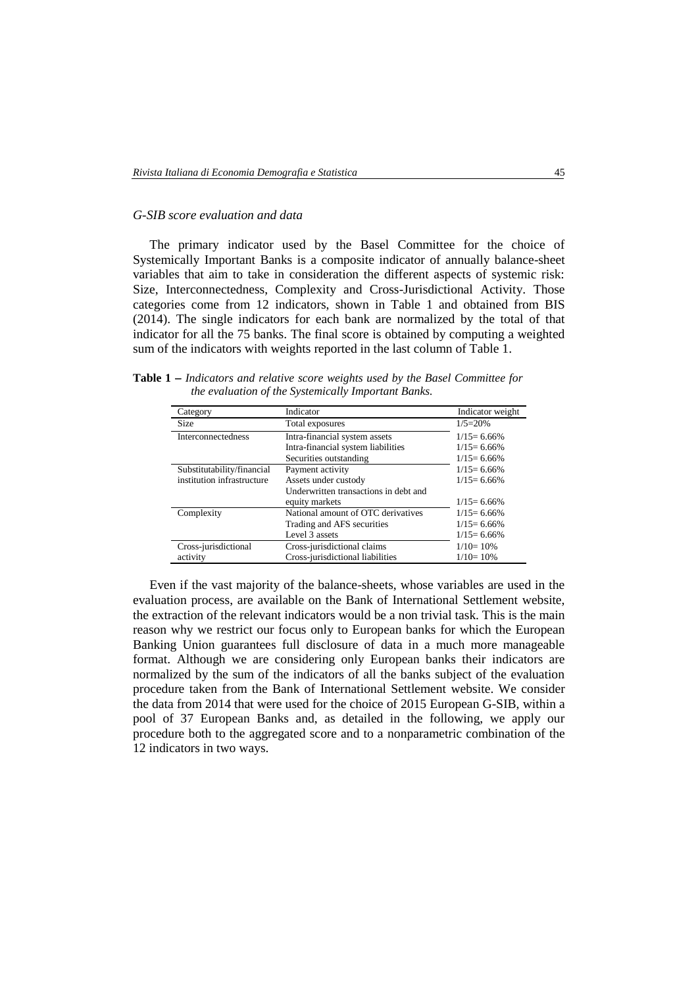### *G-SIB score evaluation and data*

The primary indicator used by the Basel Committee for the choice of Systemically Important Banks is a composite indicator of annually balance-sheet variables that aim to take in consideration the different aspects of systemic risk: Size, Interconnectedness, Complexity and Cross-Jurisdictional Activity. Those categories come from 12 indicators, shown in Table 1 and obtained from BIS (2014). The single indicators for each bank are normalized by the total of that indicator for all the 75 banks. The final score is obtained by computing a weighted sum of the indicators with weights reported in the last column of Table 1.

**Table 1**  *Indicators and relative score weights used by the Basel Committee for the evaluation of the Systemically Important Banks.*

| Category                   | Indicator                             | Indicator weight |
|----------------------------|---------------------------------------|------------------|
| <b>Size</b>                | Total exposures                       | $1/5=20%$        |
| <b>Interconnectedness</b>  | Intra-financial system assets         | $1/15 = 6.66\%$  |
|                            | Intra-financial system liabilities    | $1/15 = 6.66\%$  |
|                            | Securities outstanding                | $1/15 = 6.66\%$  |
| Substitutability/financial | Payment activity                      | $1/15 = 6.66\%$  |
| institution infrastructure | Assets under custody                  | $1/15 = 6.66\%$  |
|                            | Underwritten transactions in debt and |                  |
|                            | equity markets                        | $1/15 = 6.66\%$  |
| Complexity                 | National amount of OTC derivatives    | $1/15 = 6.66\%$  |
|                            | Trading and AFS securities            | $1/15 = 6.66\%$  |
|                            | Level 3 assets                        | $1/15 = 6.66\%$  |
| Cross-jurisdictional       | Cross-jurisdictional claims           | $1/10=10\%$      |
| activity                   | Cross-jurisdictional liabilities      | $1/10=10\%$      |

Even if the vast majority of the balance-sheets, whose variables are used in the evaluation process, are available on the Bank of International Settlement website, the extraction of the relevant indicators would be a non trivial task. This is the main reason why we restrict our focus only to European banks for which the European Banking Union guarantees full disclosure of data in a much more manageable format. Although we are considering only European banks their indicators are normalized by the sum of the indicators of all the banks subject of the evaluation procedure taken from the Bank of International Settlement website. We consider the data from 2014 that were used for the choice of 2015 European G-SIB, within a pool of 37 European Banks and, as detailed in the following, we apply our procedure both to the aggregated score and to a nonparametric combination of the 12 indicators in two ways.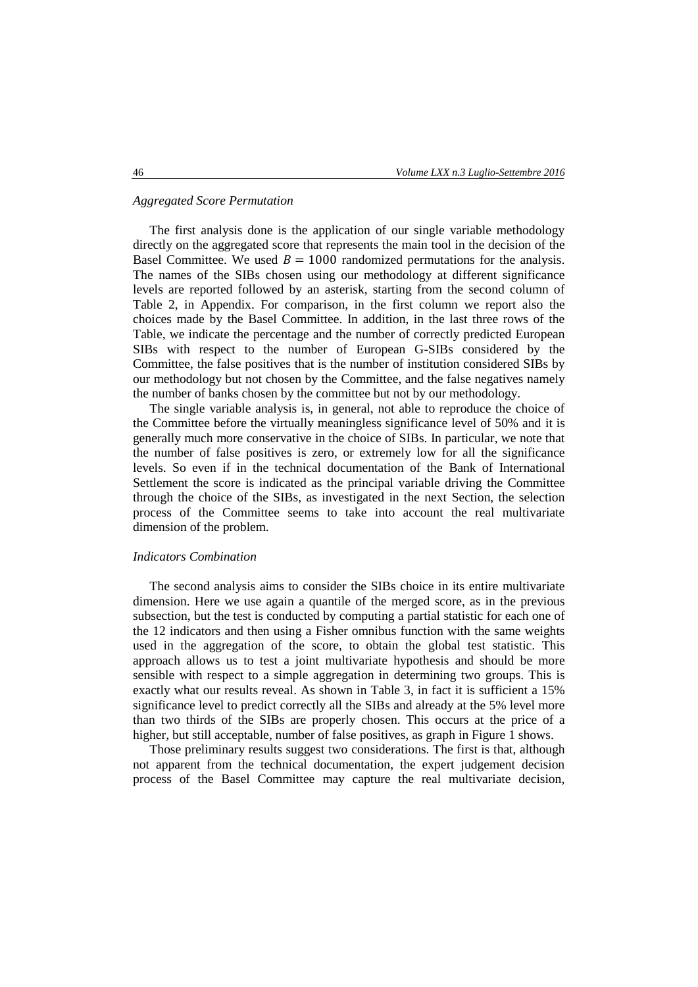# *Aggregated Score Permutation*

The first analysis done is the application of our single variable methodology directly on the aggregated score that represents the main tool in the decision of the Basel Committee. We used  $B = 1000$  randomized permutations for the analysis. The names of the SIBs chosen using our methodology at different significance levels are reported followed by an asterisk, starting from the second column of Table 2, in Appendix. For comparison, in the first column we report also the choices made by the Basel Committee. In addition, in the last three rows of the Table, we indicate the percentage and the number of correctly predicted European SIBs with respect to the number of European G-SIBs considered by the Committee, the false positives that is the number of institution considered SIBs by our methodology but not chosen by the Committee, and the false negatives namely the number of banks chosen by the committee but not by our methodology.

The single variable analysis is, in general, not able to reproduce the choice of the Committee before the virtually meaningless significance level of 50% and it is generally much more conservative in the choice of SIBs. In particular, we note that the number of false positives is zero, or extremely low for all the significance levels. So even if in the technical documentation of the Bank of International Settlement the score is indicated as the principal variable driving the Committee through the choice of the SIBs, as investigated in the next Section, the selection process of the Committee seems to take into account the real multivariate dimension of the problem.

### *Indicators Combination*

The second analysis aims to consider the SIBs choice in its entire multivariate dimension. Here we use again a quantile of the merged score, as in the previous subsection, but the test is conducted by computing a partial statistic for each one of the 12 indicators and then using a Fisher omnibus function with the same weights used in the aggregation of the score, to obtain the global test statistic. This approach allows us to test a joint multivariate hypothesis and should be more sensible with respect to a simple aggregation in determining two groups. This is exactly what our results reveal. As shown in Table 3, in fact it is sufficient a 15% significance level to predict correctly all the SIBs and already at the 5% level more than two thirds of the SIBs are properly chosen. This occurs at the price of a higher, but still acceptable, number of false positives, as graph in Figure 1 shows.

Those preliminary results suggest two considerations. The first is that, although not apparent from the technical documentation, the expert judgement decision process of the Basel Committee may capture the real multivariate decision,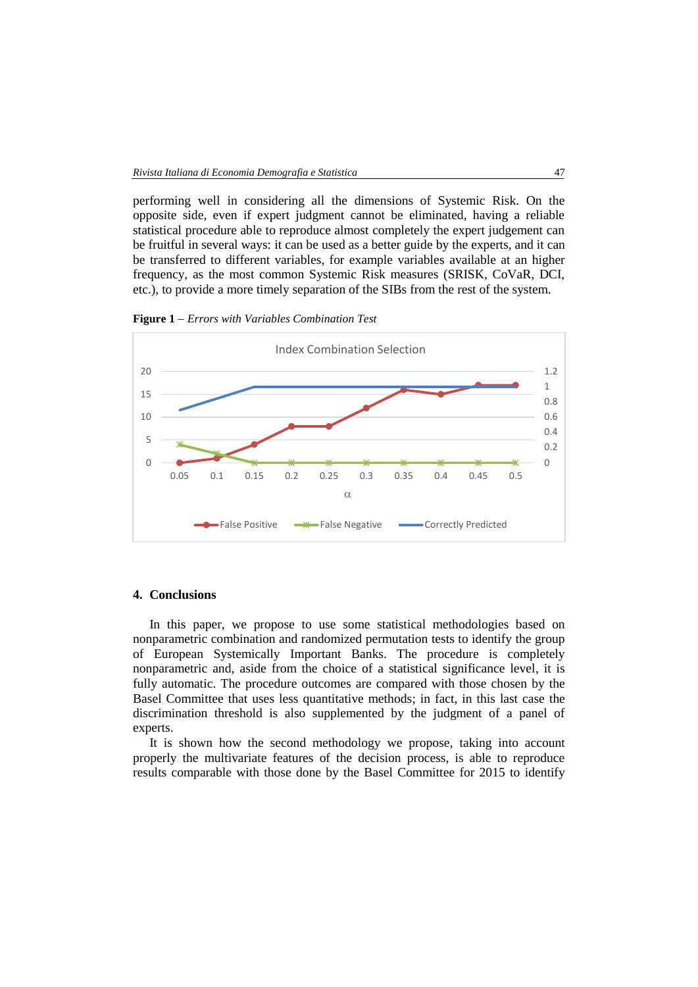performing well in considering all the dimensions of Systemic Risk. On the opposite side, even if expert judgment cannot be eliminated, having a reliable statistical procedure able to reproduce almost completely the expert judgement can be fruitful in several ways: it can be used as a better guide by the experts, and it can be transferred to different variables, for example variables available at an higher frequency, as the most common Systemic Risk measures (SRISK, CoVaR, DCI, etc.), to provide a more timely separation of the SIBs from the rest of the system.

**Figure 1**  *Errors with Variables Combination Test*



#### **4. Conclusions**

In this paper, we propose to use some statistical methodologies based on nonparametric combination and randomized permutation tests to identify the group of European Systemically Important Banks. The procedure is completely nonparametric and, aside from the choice of a statistical significance level, it is fully automatic. The procedure outcomes are compared with those chosen by the Basel Committee that uses less quantitative methods; in fact, in this last case the discrimination threshold is also supplemented by the judgment of a panel of experts.

It is shown how the second methodology we propose, taking into account properly the multivariate features of the decision process, is able to reproduce results comparable with those done by the Basel Committee for 2015 to identify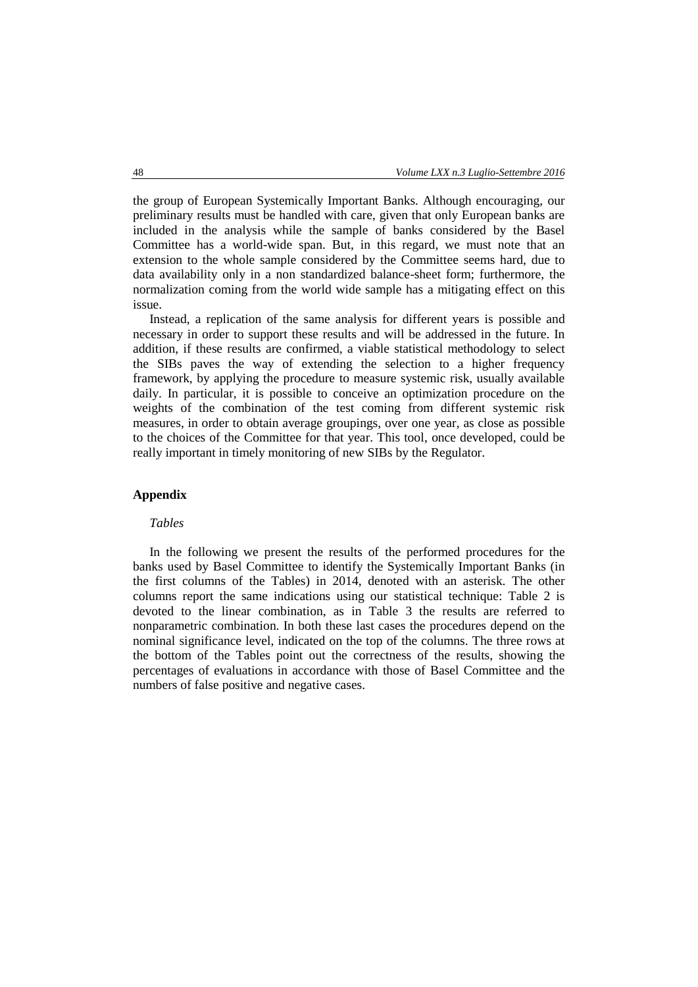the group of European Systemically Important Banks. Although encouraging, our preliminary results must be handled with care, given that only European banks are included in the analysis while the sample of banks considered by the Basel Committee has a world-wide span. But, in this regard, we must note that an extension to the whole sample considered by the Committee seems hard, due to data availability only in a non standardized balance-sheet form; furthermore, the normalization coming from the world wide sample has a mitigating effect on this issue.

Instead, a replication of the same analysis for different years is possible and necessary in order to support these results and will be addressed in the future. In addition, if these results are confirmed, a viable statistical methodology to select the SIBs paves the way of extending the selection to a higher frequency framework, by applying the procedure to measure systemic risk, usually available daily. In particular, it is possible to conceive an optimization procedure on the weights of the combination of the test coming from different systemic risk measures, in order to obtain average groupings, over one year, as close as possible to the choices of the Committee for that year. This tool, once developed, could be really important in timely monitoring of new SIBs by the Regulator.

# **Appendix**

#### *Tables*

In the following we present the results of the performed procedures for the banks used by Basel Committee to identify the Systemically Important Banks (in the first columns of the Tables) in 2014, denoted with an asterisk. The other columns report the same indications using our statistical technique: Table 2 is devoted to the linear combination, as in Table 3 the results are referred to nonparametric combination. In both these last cases the procedures depend on the nominal significance level, indicated on the top of the columns. The three rows at the bottom of the Tables point out the correctness of the results, showing the percentages of evaluations in accordance with those of Basel Committee and the numbers of false positive and negative cases.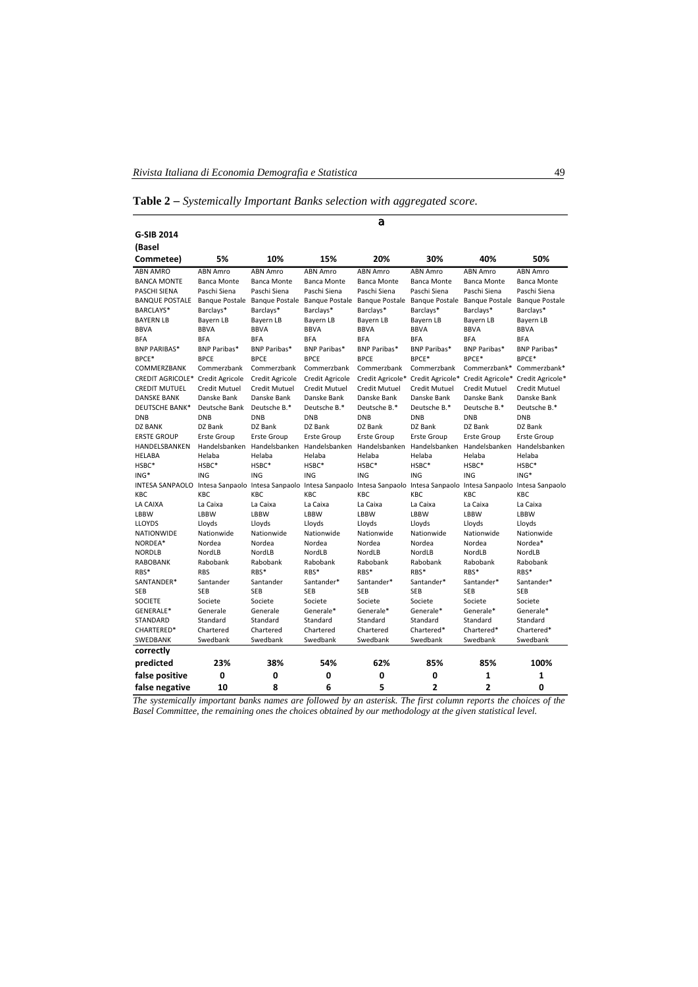**Table 2**  *Systemically Important Banks selection with aggregated score.* 

|                                                                                                                                 |                             |                             |                                    | a                           |                              |                       |                       |
|---------------------------------------------------------------------------------------------------------------------------------|-----------------------------|-----------------------------|------------------------------------|-----------------------------|------------------------------|-----------------------|-----------------------|
| G-SIB 2014                                                                                                                      |                             |                             |                                    |                             |                              |                       |                       |
| (Basel                                                                                                                          |                             |                             |                                    |                             |                              |                       |                       |
| Commetee)                                                                                                                       | 5%                          | 10%                         | 15%                                | 20%                         | 30%                          | 40%                   | 50%                   |
| <b>ABN AMRO</b>                                                                                                                 | <b>ABN Amro</b>             | <b>ABN Amro</b>             | <b>ABN Amro</b>                    | <b>ABN Amro</b>             | <b>ABN Amro</b>              | ABN Amro              | ABN Amro              |
| <b>BANCA MONTE</b>                                                                                                              | <b>Banca Monte</b>          | <b>Banca Monte</b>          | <b>Banca Monte</b>                 | <b>Banca Monte</b>          | <b>Banca Monte</b>           | <b>Banca Monte</b>    | <b>Banca Monte</b>    |
| <b>PASCHI SIENA</b>                                                                                                             | Paschi Siena                | Paschi Siena                | Paschi Siena                       | Paschi Siena                | Paschi Siena                 | Paschi Siena          | Paschi Siena          |
| <b>BANQUE POSTALE</b>                                                                                                           | <b>Banque Postale</b>       |                             | Banque Postale Banque Postale      | <b>Banque Postale</b>       | <b>Banque Postale</b>        | <b>Banque Postale</b> | <b>Banque Postale</b> |
| BARCLAYS*                                                                                                                       | Barclays*                   | Barclays*                   | Barclays*                          | Barclays*                   | Barclays*                    | Barclays*             | Barclays*             |
| <b>BAYERN LB</b>                                                                                                                | Bayern LB                   | Bayern LB                   | Bayern LB                          | Bayern LB                   | Bayern LB                    | Bayern LB             | Bayern LB             |
| <b>BBVA</b>                                                                                                                     | <b>BBVA</b>                 | <b>BBVA</b>                 | <b>BBVA</b>                        | <b>BBVA</b>                 | <b>BBVA</b>                  | <b>BBVA</b>           | <b>BBVA</b>           |
| <b>BFA</b>                                                                                                                      | <b>BFA</b>                  | <b>BFA</b>                  | <b>BFA</b>                         | <b>BFA</b>                  | <b>BFA</b>                   | <b>BFA</b>            | <b>BFA</b>            |
| <b>BNP PARIBAS*</b><br>BPCE*                                                                                                    | BNP Paribas*<br><b>BPCF</b> | BNP Paribas*<br><b>BPCF</b> | <b>BNP Paribas*</b><br><b>BPCF</b> | BNP Paribas*<br><b>BPCF</b> | <b>BNP Paribas*</b><br>BPCF* | BNP Paribas*<br>BPCF* | BNP Paribas*<br>BPCF* |
| <b>COMMERZBANK</b>                                                                                                              | Commerzbank                 | Commerzbank                 | Commerzbank                        | Commerzbank                 | Commerzbank                  | Commerzbank*          | Commerzbank*          |
| CREDIT AGRICOLE* Credit Agricole                                                                                                |                             | <b>Credit Agricole</b>      | Credit Agricole                    | Credit Agricole*            | Credit Agricole*             | Credit Agricole*      | Credit Agricole*      |
| <b>CREDIT MUTUEL</b>                                                                                                            | Credit Mutuel               | Credit Mutuel               | Credit Mutuel                      | Credit Mutuel               | Credit Mutuel                | Credit Mutuel         | Credit Mutuel         |
| <b>DANSKE BANK</b>                                                                                                              | Danske Bank                 | Danske Bank                 | Danske Bank                        | Danske Bank                 | Danske Bank                  | Danske Bank           | Danske Bank           |
| <b>DEUTSCHE BANK*</b>                                                                                                           | Deutsche Bank               | Deutsche B.*                | Deutsche B.*                       | Deutsche B.*                | Deutsche B.*                 | Deutsche B.*          | Deutsche B.*          |
| <b>DNB</b>                                                                                                                      | <b>DNB</b>                  | <b>DNB</b>                  | <b>DNB</b>                         | <b>DNB</b>                  | <b>DNB</b>                   | <b>DNB</b>            | <b>DNB</b>            |
| <b>DZ BANK</b>                                                                                                                  | DZ Bank                     | DZ Bank                     | DZ Bank                            | DZ Bank                     | DZ Bank                      | DZ Bank               | DZ Bank               |
| <b>ERSTE GROUP</b>                                                                                                              | <b>Erste Group</b>          | <b>Erste Group</b>          | Erste Group                        | <b>Erste Group</b>          | <b>Erste Group</b>           | <b>Erste Group</b>    | <b>Erste Group</b>    |
| HANDELSBANKEN                                                                                                                   | Handelsbanken               | Handelsbanken               | Handelsbanken                      | Handelsbanken               | Handelsbanken                | Handelsbanken         | Handelsbanken         |
| <b>HELABA</b>                                                                                                                   | Helaba                      | Helaba                      | Helaba                             | Helaba                      | Helaba                       | Helaba                | Helaba                |
| HSBC*                                                                                                                           | HSBC*                       | HSBC*                       | HSBC*                              | HSBC*                       | HSBC*                        | HSBC*                 | HSBC*                 |
| ING*                                                                                                                            | ING                         | ING                         | ING                                | ING                         | <b>ING</b>                   | ING                   | ING*                  |
| INTESA SANPAOLO Intesa Sanpaolo Intesa Sanpaolo Intesa Sanpaolo Intesa Sanpaolo Intesa Sanpaolo Intesa Sanpaolo Intesa Sanpaolo |                             |                             |                                    |                             |                              |                       |                       |
| <b>KBC</b>                                                                                                                      | KBC                         | KBC                         | KBC                                | KBC.                        | KBC                          | KBC                   | KBC                   |
| LA CAIXA                                                                                                                        | La Caixa                    | La Caixa                    | La Caixa                           | La Caixa                    | La Caixa                     | La Caixa              | La Caixa              |
| LBBW                                                                                                                            | LBBW                        | LBBW                        | LBBW                               | LBBW                        | LBBW                         | LBBW                  | LBBW                  |
| <b>LLOYDS</b>                                                                                                                   | Lloyds                      | Lloyds                      | Lloyds                             | Lloyds                      | Lloyds                       | Lloyds                | Lloyds                |
| <b>NATIONWIDE</b>                                                                                                               | Nationwide                  | Nationwide                  | Nationwide                         | Nationwide                  | Nationwide                   | Nationwide            | Nationwide            |
| NORDEA*                                                                                                                         | Nordea                      | Nordea                      | Nordea                             | Nordea                      | Nordea                       | Nordea                | Nordea*               |
| <b>NORDLB</b>                                                                                                                   | NordLB                      | <b>NordLB</b>               | NordLB                             | NordLB                      | NordLB                       | <b>NordLB</b>         | NordLB                |
| <b>RABOBANK</b>                                                                                                                 | Rabobank                    | Rabobank                    | Rabobank                           | Rabobank                    | Rabobank                     | Rabobank              | Rabobank              |
| RBS*                                                                                                                            | <b>RBS</b>                  | RBS*                        | RBS*                               | RBS*                        | RBS*                         | RBS*                  | RBS*                  |
| SANTANDER*                                                                                                                      | Santander                   | Santander                   | Santander*                         | Santander*                  | Santander*                   | Santander*            | Santander*            |
| <b>SEB</b>                                                                                                                      | <b>SEB</b>                  | <b>SFB</b>                  | <b>SFB</b>                         | <b>SFB</b>                  | <b>SFB</b>                   | <b>SFB</b>            | <b>SFB</b>            |
| <b>SOCIETE</b>                                                                                                                  | Societe                     | Societe                     | Societe                            | Societe                     | Societe                      | Societe               | Societe               |
| GENERALE*                                                                                                                       | Generale                    | Generale                    | Generale*                          | Generale*                   | Generale*                    | Generale*             | Generale*             |
| <b>STANDARD</b>                                                                                                                 | Standard                    | Standard                    | Standard                           | Standard                    | Standard                     | Standard              | Standard              |
| CHARTERED*                                                                                                                      | Chartered                   | Chartered                   | Chartered                          | Chartered                   | Chartered*                   | Chartered*            | Chartered*            |
| SWEDBANK                                                                                                                        | Swedbank                    | Swedbank                    | Swedbank                           | Swedbank                    | Swedbank                     | Swedbank              | Swedbank              |
| correctly                                                                                                                       |                             |                             |                                    |                             |                              |                       |                       |
| predicted                                                                                                                       | 23%                         | 38%                         | 54%                                | 62%                         | 85%                          | 85%                   | 100%                  |
| false positive                                                                                                                  | 0                           | 0                           | 0                                  | 0                           | 0                            | 1                     | 1                     |
| false negative                                                                                                                  | 10                          | 8                           | 6                                  | 5                           | 2                            | 2                     | 0                     |

*The systemically important banks names are followed by an asterisk. The first column reports the choices of the Basel Committee, the remaining ones the choices obtained by our methodology at the given statistical level.*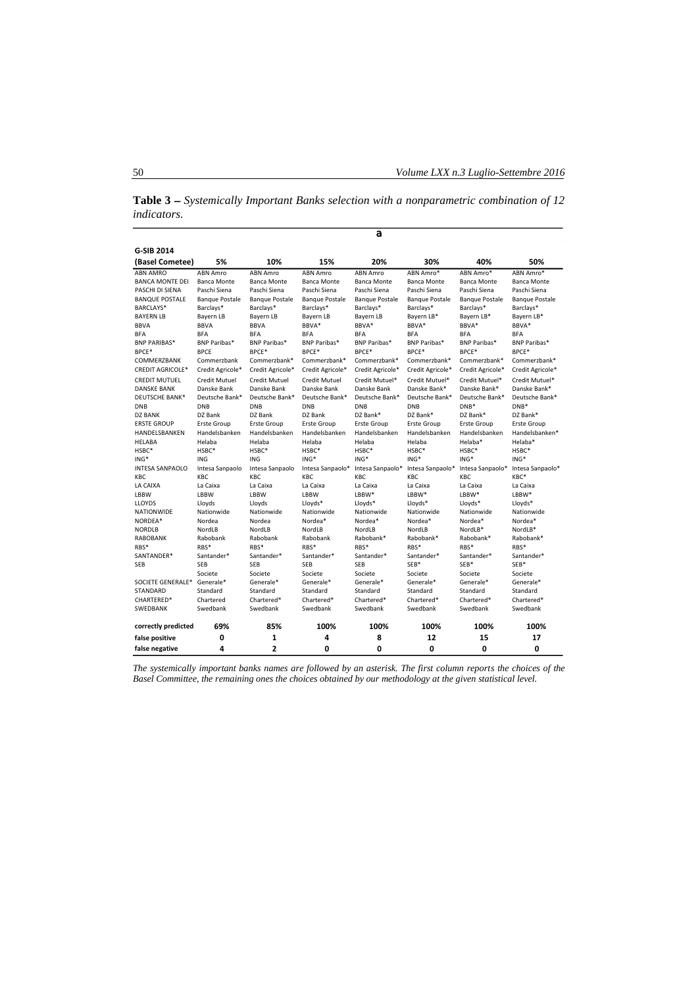**Table 3**  *Systemically Important Banks selection with a nonparametric combination of 12 indicators.* 

|                                    |                       |                       |                       | a                     |                       |                       |                       |
|------------------------------------|-----------------------|-----------------------|-----------------------|-----------------------|-----------------------|-----------------------|-----------------------|
| <b>G-SIB 2014</b>                  |                       |                       |                       |                       |                       |                       |                       |
| (Basel Cometee)                    | 5%                    | 10%                   | 15%                   | 20%                   | 30%                   | 40%                   | 50%                   |
| <b>ABN AMRO</b>                    | <b>ABN Amro</b>       | <b>ABN Amro</b>       | <b>ABN Amro</b>       | <b>ABN Amro</b>       | ABN Amro*             | ABN Amro*             | ABN Amro*             |
| <b>BANCA MONTE DEI</b>             | <b>Banca Monte</b>    | <b>Banca Monte</b>    | <b>Banca Monte</b>    | <b>Banca Monte</b>    | <b>Banca Monte</b>    | <b>Banca Monte</b>    | <b>Banca Monte</b>    |
| PASCHI DI SIENA                    | Paschi Siena          | Paschi Siena          | Paschi Siena          | Paschi Siena          | Paschi Siena          | Paschi Siena          | Paschi Siena          |
| <b>BANQUE POSTALE</b>              | <b>Banque Postale</b> | <b>Bangue Postale</b> | <b>Bangue Postale</b> | <b>Banque Postale</b> | <b>Banque Postale</b> | <b>Bangue Postale</b> | <b>Bangue Postale</b> |
| BARCLAYS*                          | Barclays*             | Barclays*             | Barclays*             | Barclays*             | Barclays*             | Barclays*             | Barclays*             |
| <b>BAYERN LB</b>                   | Bayern LB             | Bayern LB             | Bayern LB             | Bayern LB             | Bayern LB*            | Bayern LB*            | Bayern LB*            |
| <b>BBVA</b>                        | <b>BBVA</b>           | <b>BBVA</b>           | BBVA*                 | BBVA*                 | BBVA*                 | BBVA*                 | BBVA*                 |
| <b>BFA</b>                         | <b>BFA</b>            | <b>BFA</b>            | <b>BFA</b>            | <b>BFA</b>            | <b>BFA</b>            | <b>BFA</b>            | <b>BFA</b>            |
| <b>BNP PARIBAS*</b>                | BNP Paribas*          | <b>BNP Paribas*</b>   | <b>BNP Paribas*</b>   | <b>BNP Paribas*</b>   | <b>BNP Paribas*</b>   | BNP Paribas*          | <b>BNP Paribas*</b>   |
| BPCE*                              | <b>BPCE</b>           | BPCE*                 | BPCE*                 | BPCE*                 | BPCE*                 | BPCE*                 | BPCE*                 |
| COMMERZBANK                        | Commerzbank           | Commerzbank*          | Commerzbank*          | Commerzbank*          | Commerzbank*          | Commerzbank*          | Commerzbank*          |
| <b>CREDIT AGRICOLE*</b>            | Credit Agricole*      | Credit Agricole*      | Credit Agricole*      | Credit Agricole*      | Credit Agricole*      | Credit Agricole*      | Credit Agricole*      |
| <b>CREDIT MUTUEL</b>               | <b>Credit Mutuel</b>  | <b>Credit Mutuel</b>  | <b>Credit Mutuel</b>  | Credit Mutuel*        | Credit Mutuel*        | Credit Mutuel*        | Credit Mutuel*        |
| <b>DANSKE BANK</b>                 | Danske Bank           | Danske Bank           | Danske Bank           | Danske Bank           | Danske Bank*          | Danske Bank*          | Danske Bank*          |
| DEUTSCHE BANK*                     | Deutsche Bank*        | Deutsche Bank*        | Deutsche Bank*        | Deutsche Bank*        | Deutsche Bank*        | Deutsche Bank*        | Deutsche Bank*        |
| <b>DNB</b>                         | <b>DNB</b>            | <b>DNB</b>            | <b>DNB</b>            | <b>DNB</b>            | <b>DNB</b>            | $DNB*$                | $DNB*$                |
| <b>DZ BANK</b>                     | DZ Bank               | DZ Bank               | DZ Bank               | DZ Bank*              | DZ Bank*              | DZ Bank*              | DZ Bank*              |
| <b>ERSTE GROUP</b>                 | <b>Erste Group</b>    | <b>Erste Group</b>    | <b>Erste Group</b>    | <b>Erste Group</b>    | <b>Erste Group</b>    | <b>Erste Group</b>    | <b>Erste Group</b>    |
| HANDELSBANKEN                      | Handelsbanken         | Handelsbanken         | Handelsbanken         | Handelsbanken         | Handelsbanken         | Handelsbanken         | Handelsbanken*        |
| <b>HELABA</b>                      | Helaba                | Helaba                | Helaba                | Helaba                | Helaba                | Helaba*               | Helaba*               |
| HSBC*                              | HSBC*                 | HSBC*                 | HSBC*                 | HSBC*                 | HSBC*                 | HSBC*                 | HSBC*                 |
| ING*                               | ING                   | ING                   | ING*                  | $ING*$                | ING*                  | ING*                  | ING*                  |
| <b>INTESA SANPAOLO</b>             | Intesa Sanpaolo       | Intesa Sanpaolo       | Intesa Sanpaolo*      | Intesa Sanpaolo*      | Intesa Sanpaolo*      | Intesa Sanpaolo*      | Intesa Sanpaolo*      |
| KBC                                | KBC                   | KBC                   | KBC                   | KBC                   | KBC                   | KBC                   | KBC*                  |
| LA CAIXA                           | La Caixa              | La Caixa              | La Caixa              | La Caixa<br>LBBW*     | La Caixa<br>LBBW*     | La Caixa<br>LBBW*     | La Caixa<br>LBBW*     |
| LBBW                               | LBBW                  | LBBW                  | LBBW                  |                       |                       |                       |                       |
| <b>LLOYDS</b><br><b>NATIONWIDE</b> | Lloyds<br>Nationwide  | Lloyds<br>Nationwide  | Lloyds*<br>Nationwide | Lloyds*<br>Nationwide | Lloyds*<br>Nationwide | Lloyds*<br>Nationwide | Lloyds*<br>Nationwide |
| NORDEA*                            | Nordea                | Nordea                | Nordea*               | Nordea*               | Nordea*               | Nordea*               | Nordea*               |
| <b>NORDLB</b>                      | NordLB                | NordLB                | NordLB                | <b>NordLB</b>         | NordLB                | NordLB*               | NordLB*               |
| <b>RABOBANK</b>                    | Rabobank              | Rabobank              | Rabobank              | Rabobank*             | Rabobank*             | Rabobank*             | Rabobank*             |
| RBS*                               | RBS*                  | RBS*                  | RBS*                  | RBS*                  | RBS*                  | RBS*                  | RBS*                  |
| SANTANDER*                         | Santander*            | Santander*            | Santander*            | Santander*            | Santander*            | Santander*            | Santander*            |
| <b>SEB</b>                         | <b>SEB</b>            | <b>SEB</b>            | <b>SEB</b>            | <b>SEB</b>            | SEB*                  | $SFR*$                | SEB*                  |
|                                    | Societe               | Societe               | Societe               | Societe               | Societe               | Societe               | Societe               |
| SOCIETE GENERALE*                  | Generale*             | Generale*             | Generale*             | Generale*             | Generale*             | Generale*             | Generale*             |
| <b>STANDARD</b>                    | Standard              | Standard              | Standard              | Standard              | Standard              | Standard              | Standard              |
| CHARTERED*                         | Chartered             | Chartered*            | Chartered*            | Chartered*            | Chartered*            | Chartered*            | Chartered*            |
| SWEDBANK                           | Swedbank              | Swedbank              | Swedbank              | Swedbank              | Swedbank              | Swedbank              | Swedbank              |
| correctly predicted                | 69%                   | 85%                   | 100%                  | 100%                  | 100%                  | 100%                  | 100%                  |
| false positive                     | 0                     | 1                     | 4                     | 8                     | 12                    | 15                    | 17                    |
| false negative                     | 4                     | $\overline{2}$        | 0                     | 0                     | 0                     | 0                     | 0                     |

*The systemically important banks names are followed by an asterisk. The first column reports the choices of the Basel Committee, the remaining ones the choices obtained by our methodology at the given statistical level.*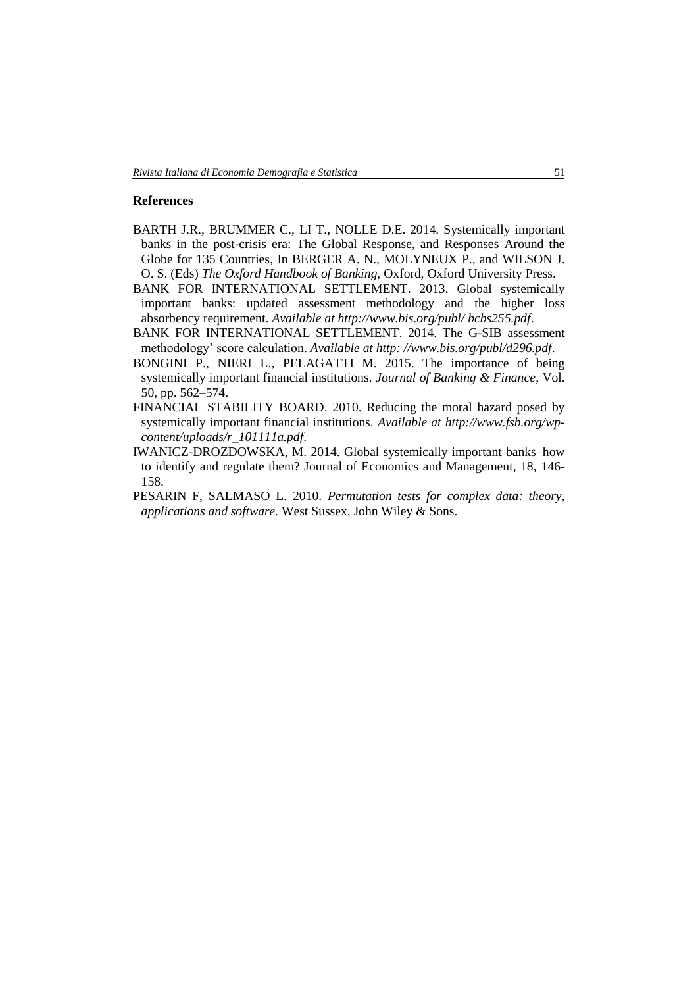# **References**

- BARTH J.R., BRUMMER C., LI T., NOLLE D.E. 2014. Systemically important banks in the post-crisis era: The Global Response, and Responses Around the Globe for 135 Countries, In BERGER A. N., MOLYNEUX P., and WILSON J. O. S. (Eds) *The Oxford Handbook of Banking*, Oxford, Oxford University Press.
- BANK FOR INTERNATIONAL SETTLEMENT. 2013. Global systemically important banks: updated assessment methodology and the higher loss absorbency requirement. *Available at http://www.bis.org/publ/ bcbs255.pdf*.
- BANK FOR INTERNATIONAL SETTLEMENT. 2014. The G-SIB assessment methodology' score calculation. *Available at http: //www.bis.org/publ/d296.pdf*.
- BONGINI P., NIERI L., PELAGATTI M. 2015. The importance of being systemically important financial institutions. *Journal of Banking & Finance*, Vol. 50, pp. 562–574.
- FINANCIAL STABILITY BOARD. 2010. Reducing the moral hazard posed by systemically important financial institutions. *Available at http://www.fsb.org/wpcontent/uploads/r\_101111a.pdf*.
- IWANICZ-DROZDOWSKA, M. 2014. Global systemically important banks–how to identify and regulate them? Journal of Economics and Management, 18, 146- 158.
- PESARIN F, SALMASO L. 2010. *Permutation tests for complex data: theory, applications and software.* West Sussex, John Wiley & Sons.